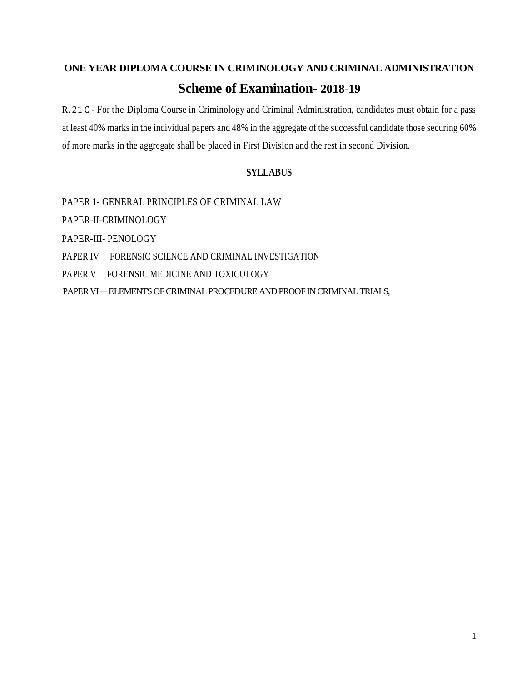# **ONE YEAR DIPLOMA COURSE IN CRIMINOLOGY AND CRIMINAL ADMINISTRATION Scheme of Examination- 2018-19**

R. 21 C - For the Diploma Course in Criminology and Criminal Administration, candidates must obtain for a pass at least 40% marks in the individual papers and 48% in the aggregate of the successful candidate those securing 60% of more marks in the aggregate shall be placed in First Division and the rest in second Division.

### **SYLLABUS**

PAPER 1- GENERAL PRINCIPLES OF CRIMINAL LAW PAPER-II-CRIMINOLOGY PAPER-III- PENOLOGY PAPER IV— FORENSIC SCIENCE AND CRIMINAL INVESTIGATION PAPER V— FORENSIC MEDICINE AND TOXICOLOGY PAPER VI—ELEMENTS OF CRIMINAL PROCEDURE AND PROOF IN CRIMINAL TRIALS,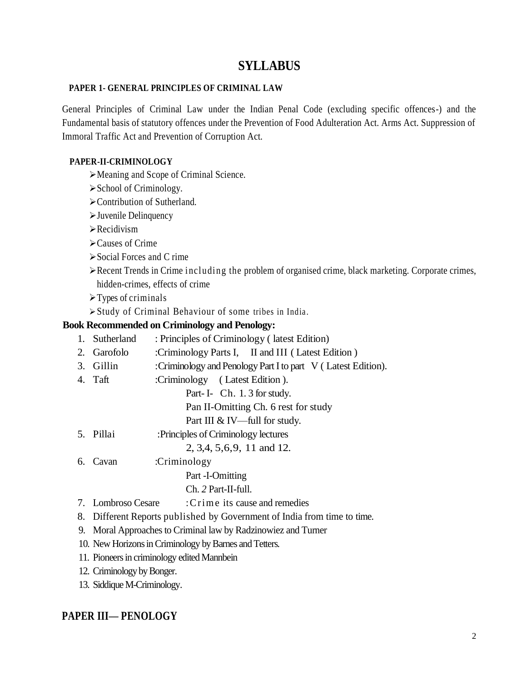## **SYLLABUS**

### **PAPER 1- GENERAL PRINCIPLES OF CRIMINAL LAW**

General Principles of Criminal Law under the Indian Penal Code (excluding specific offences-) and the Fundamental basis of statutory offences under the Prevention of Food Adulteration Act. Arms Act. Suppression of Immoral Traffic Act and Prevention of Corruption Act.

### **PAPER-II-CRIMINOLOGY**

- Meaning and Scope of Criminal Science.
- $\triangleright$  School of Criminology.
- Contribution of Sutherland.
- Juvenile Delinquency
- $\triangleright$  Recidivism
- Causes of Crime
- $\triangleright$  Social Forces and C rime
- $\triangleright$  Recent Trends in Crime including the problem of organised crime, black marketing. Corporate crimes, hidden-crimes, effects of crime
- $\triangleright$  Types of criminals
- Study of Criminal Behaviour of some tribes in India.

### **Book Recommended on Criminology and Penology:**

- 1. Sutherland : Principles of Criminology ( latest Edition)
- 2. Garofolo :Criminology Parts I, II and III ( Latest Edition )
- 3. Gillin :Criminology and Penology Part Ito part V ( Latest Edition).
- 4. Taft :Criminology ( Latest Edition ).
	- Part- I- Ch. 1. 3 for study.

Pan II-Omitting Ch. 6 rest for study

- Part III & IV—full for study.
- 5. Pillai :Principles of Criminology lectures 2, 3,4, 5,6,9, 11 and 12.
- 6. Cavan :Criminology

Part -I-Omitting

- Ch. *2* Part-II-full.
- 7. Lombroso Cesare :C r ime its cause and remedies
- 8. Different Reports published by Government of India from time to time.
- 9. Moral Approaches to Criminal law by Radzinowiez and Turner
- 10. New Horizons in Criminology by Barnes and Tetters.
- 11. Pioneers in criminology edited Mannbein
- 12. Criminology by Bonger.
- 13. Siddique M-Criminology.

### **PAPER III— PENOLOGY**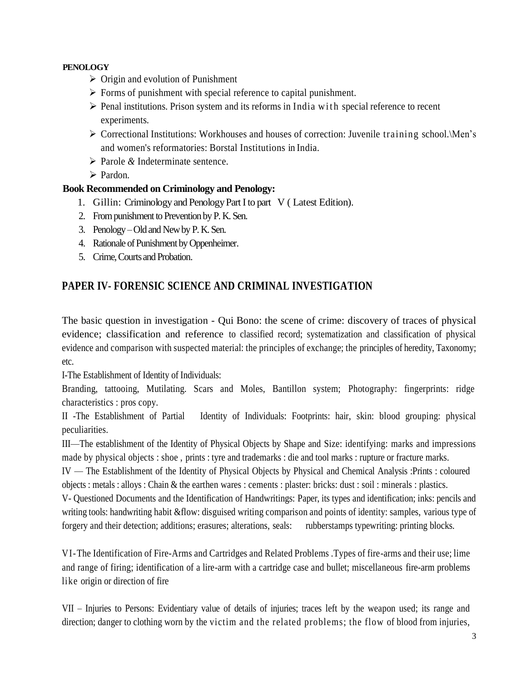### **PENOLOGY**

- $\triangleright$  Origin and evolution of Punishment
- $\triangleright$  Forms of punishment with special reference to capital punishment.
- $\triangleright$  Penal institutions. Prison system and its reforms in India with special reference to recent experiments.
- $\triangleright$  Correctional Institutions: Workhouses and houses of correction: Juvenile training school. Men's and women's reformatories: Borstal Institutions in India.
- Parole *&* Indeterminate sentence.
- $\triangleright$  Pardon.

### **Book Recommended on Criminology and Penology:**

- 1. Gillin: Criminology and Penology Part I to part V ( Latest Edition).
- 2. From punishment to Prevention by P. K. Sen.
- 3. Penology –Old and New by P. K. Sen.
- 4. Rationale of Punishment by Oppenheimer.
- 5. Crime, Courts and Probation.

### **PAPER IV- FORENSIC SCIENCE AND CRIMINAL INVESTIGATION**

The basic question in investigation - Qui Bono: the scene of crime: discovery of traces of physical evidence; classification and reference to classified record; systematization and classification of physical evidence and comparison with suspected material: the principles of exchange; the principles of heredity, Taxonomy; etc.

I-The Establishment of Identity of Individuals:

Branding, tattooing, Mutilating. Scars and Moles, Bantillon system; Photography: fingerprints: ridge characteristics : pros copy.

II -The Establishment of Partial Identity of Individuals: Footprints: hair, skin: blood grouping: physical peculiarities.

III—The establishment of the Identity of Physical Objects by Shape and Size: identifying: marks and impressions made by physical objects : shoe , prints : tyre and trademarks : die and tool marks : rupture or fracture marks.

IV — The Establishment of the Identity of Physical Objects by Physical and Chemical Analysis :Prints : coloured objects : metals : alloys : Chain & the earthen wares : cements : plaster: bricks: dust : soil : minerals : plastics.

V- Questioned Documents and the Identification of Handwritings: Paper, its types and identification; inks: pencils and writing tools: handwriting habit &flow: disguised writing comparison and points of identity: samples, various type of forgery and their detection; additions; erasures; alterations, seals: rubberstamps typewriting: printing blocks.

VI-The Identification of Fire-Arms and Cartridges and Related Problems .Types of fire-arms and their use; lime and range of firing; identification of a lire-arm with a cartridge case and bullet; miscellaneous fire-arm problems like origin or direction of fire

VII – Injuries to Persons: Evidentiary value of details of injuries; traces left by the weapon used; its range and direction; danger to clothing worn by the victim and the related problems; the flow of blood from injuries,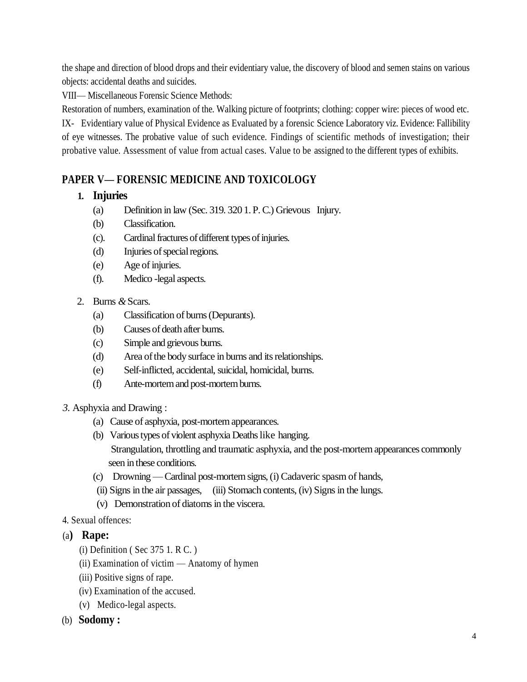the shape and direction of blood drops and their evidentiary value, the discovery of blood and semen stains on various objects: accidental deaths and suicides.

VIII— Miscellaneous Forensic Science Methods:

Restoration of numbers, examination of the. Walking picture of footprints; clothing: copper wire: pieces of wood etc. IX- Evidentiary value of Physical Evidence as Evaluated by a forensic Science Laboratory viz. Evidence: Fallibility of eye witnesses. The probative value of such evidence. Findings of scientific methods of investigation; their probative value. Assessment of value from actual cases. Value to be assigned to the different types of exhibits.

# **PAPER V— FORENSIC MEDICINE AND TOXICOLOGY**

### **1. Injuries**

- (a) Definition in law (Sec. 319. 320 1. P. C.) Grievous Injury.
- (b) Classification.
- (c). Cardinalfractures of different types of injuries.
- (d) Injuries of special regions.
- (e) Age of injuries.
- (f). Medico -legal aspects.
- 2. Burns *&* Scars.
	- (a) Classification of burns (Depurants).
	- (b) Causes of death after bums.
	- (c) Simple and grievous burns.
	- (d) Area of the body surface in burns and its relationships.
	- (e) Self-inflicted, accidental, suicidal, homicidal, burns.
	- (f) Ante-mortem and post-mortem burns.
- *3.* Asphyxia and Drawing :
	- (a) Cause of asphyxia, post-mortem appearances.
	- (b) Various types of violent asphyxia Deaths like hanging. Strangulation, throttling and traumatic asphyxia, and the post-mortem appearances commonly seen in these conditions.
	- (c) Drowning —Cardinal post-mortem signs, (i) Cadaveric spasm of hands,
	- (ii) Signs in the air passages, (iii) Stomach contents, (iv) Signs in the lungs.
	- (v) Demonstration of diatoms in the viscera.
- 4. Sexual offences:
- (a**) Rape:**
	- (i) Definition ( Sec 375 1. R C. )
	- (ii) Examination of victim Anatomy of hymen
	- (iii) Positive signs of rape.
	- (iv) Examination of the accused.
	- (v) Medico-legal aspects.
- (b) **Sodomy :**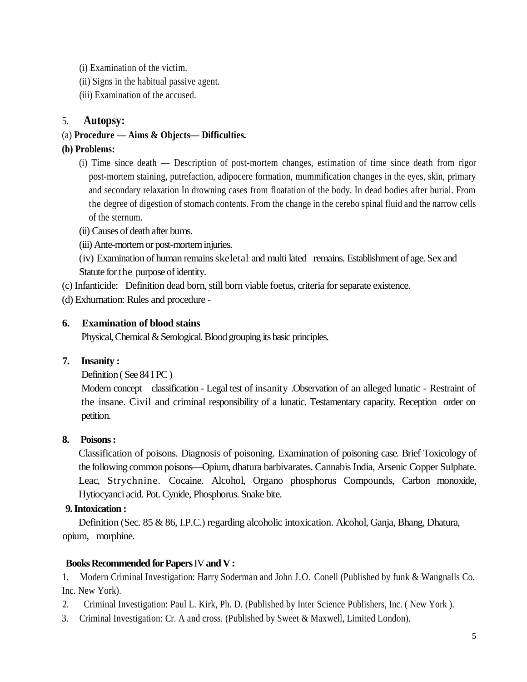- (i) Examination of the victim.
- (ii) Signs in the habitual passive agent.
- (iii) Examination of the accused.

### 5. **Autopsy:**

### (a) **Procedure — Aims & Objects— Difficulties.**

### **(b) Problems:**

- (i) Time since death Description of post-mortem changes, estimation of time since death from rigor post-mortem staining, putrefaction, adipocere formation, mummification changes in the eyes, skin, primary and secondary relaxation In drowning cases from floatation of the body. In dead bodies after burial. From the degree of digestion of stomach contents. From the change in the cerebo spinal fluid and the narrow cells of the sternum.
- (ii) Causes of death after bums.
- (iii) Ante-mortem or post-mortem injuries.
- (iv) Examination of human remains skeletal and multi lated remains. Establishment of age. Sex and Statute for the purpose of identity.
- (c) Infanticide: Definition dead born, still born viable foetus, criteria for separate existence.
- (d) Exhumation: Rules and procedure -

### **6. Examination of blood stains**

Physical, Chemical & Serological. Blood grouping its basic principles.

### **7. Insanity :**

Definition ( See 84 I PC )

Modern concept—classification - Legal test of insanity .Observation of an alleged lunatic - Restraint of the insane. Civil and criminal responsibility of a lunatic. Testamentary capacity. Reception order on petition.

### **8. Poisons :**

Classification of poisons. Diagnosis of poisoning. Examination of poisoning case. Brief Toxicology of the following common poisons—Opium, dhatura barbivarates. Cannabis India, Arsenic Copper Sulphate. Leac, Strychnine. Cocaine. Alcohol, Organo phosphorus Compounds, Carbon monoxide, Hytiocyanci acid. Pot. Cynide, Phosphorus. Snake bite.

### **9. Intoxication :**

Definition (Sec. 85 & 86, I.P.C.) regarding alcoholic intoxication. Alcohol, Ganja, Bhang, Dhatura, opium, morphine.

### **Books Recommended for Papers** IV **and V :**

1. Modern Criminal Investigation: Harry Soderman and John J.O. Conell (Published by funk & Wangnalls Co. Inc. New York).

- 2. Criminal Investigation: Paul L. Kirk, Ph. D. (Published by Inter Science Publishers, Inc. ( New York ).
- 3. Criminal Investigation: Cr. A and cross. (Published by Sweet & Maxwell, Limited London).